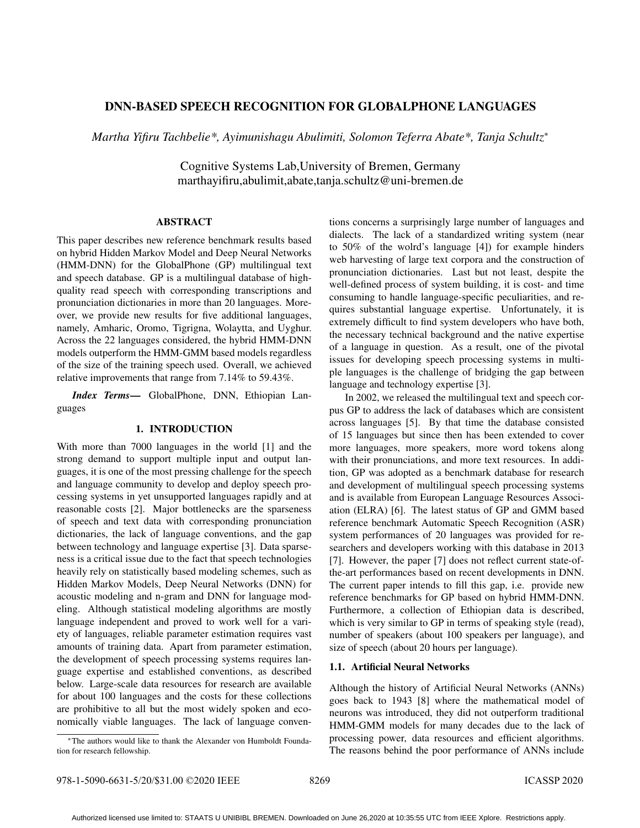# DNN-BASED SPEECH RECOGNITION FOR GLOBALPHONE LANGUAGES

*Martha Yifiru Tachbelie\*, Ayimunishagu Abulimiti, Solomon Teferra Abate\*, Tanja Schultz*<sup>∗</sup>

Cognitive Systems Lab,University of Bremen, Germany marthayifiru,abulimit,abate,tanja.schultz@uni-bremen.de

### ABSTRACT

This paper describes new reference benchmark results based on hybrid Hidden Markov Model and Deep Neural Networks (HMM-DNN) for the GlobalPhone (GP) multilingual text and speech database. GP is a multilingual database of highquality read speech with corresponding transcriptions and pronunciation dictionaries in more than 20 languages. Moreover, we provide new results for five additional languages, namely, Amharic, Oromo, Tigrigna, Wolaytta, and Uyghur. Across the 22 languages considered, the hybrid HMM-DNN models outperform the HMM-GMM based models regardless of the size of the training speech used. Overall, we achieved relative improvements that range from 7.14% to 59.43%.

*Index Terms*— GlobalPhone, DNN, Ethiopian Languages

### 1. INTRODUCTION

With more than 7000 languages in the world [1] and the strong demand to support multiple input and output languages, it is one of the most pressing challenge for the speech and language community to develop and deploy speech processing systems in yet unsupported languages rapidly and at reasonable costs [2]. Major bottlenecks are the sparseness of speech and text data with corresponding pronunciation dictionaries, the lack of language conventions, and the gap between technology and language expertise [3]. Data sparseness is a critical issue due to the fact that speech technologies heavily rely on statistically based modeling schemes, such as Hidden Markov Models, Deep Neural Networks (DNN) for acoustic modeling and n-gram and DNN for language modeling. Although statistical modeling algorithms are mostly language independent and proved to work well for a variety of languages, reliable parameter estimation requires vast amounts of training data. Apart from parameter estimation, the development of speech processing systems requires language expertise and established conventions, as described below. Large-scale data resources for research are available for about 100 languages and the costs for these collections are prohibitive to all but the most widely spoken and economically viable languages. The lack of language conventions concerns a surprisingly large number of languages and dialects. The lack of a standardized writing system (near to 50% of the wolrd's language [4]) for example hinders web harvesting of large text corpora and the construction of pronunciation dictionaries. Last but not least, despite the well-defined process of system building, it is cost- and time consuming to handle language-specific peculiarities, and requires substantial language expertise. Unfortunately, it is extremely difficult to find system developers who have both, the necessary technical background and the native expertise of a language in question. As a result, one of the pivotal issues for developing speech processing systems in multiple languages is the challenge of bridging the gap between language and technology expertise [3].

In 2002, we released the multilingual text and speech corpus GP to address the lack of databases which are consistent across languages [5]. By that time the database consisted of 15 languages but since then has been extended to cover more languages, more speakers, more word tokens along with their pronunciations, and more text resources. In addition, GP was adopted as a benchmark database for research and development of multilingual speech processing systems and is available from European Language Resources Association (ELRA) [6]. The latest status of GP and GMM based reference benchmark Automatic Speech Recognition (ASR) system performances of 20 languages was provided for researchers and developers working with this database in 2013 [7]. However, the paper [7] does not reflect current state-ofthe-art performances based on recent developments in DNN. The current paper intends to fill this gap, i.e. provide new reference benchmarks for GP based on hybrid HMM-DNN. Furthermore, a collection of Ethiopian data is described, which is very similar to GP in terms of speaking style (read), number of speakers (about 100 speakers per language), and size of speech (about 20 hours per language).

### 1.1. Artificial Neural Networks

Although the history of Artificial Neural Networks (ANNs) goes back to 1943 [8] where the mathematical model of neurons was introduced, they did not outperform traditional HMM-GMM models for many decades due to the lack of processing power, data resources and efficient algorithms. The reasons behind the poor performance of ANNs include

<sup>∗</sup>The authors would like to thank the Alexander von Humboldt Foundation for research fellowship.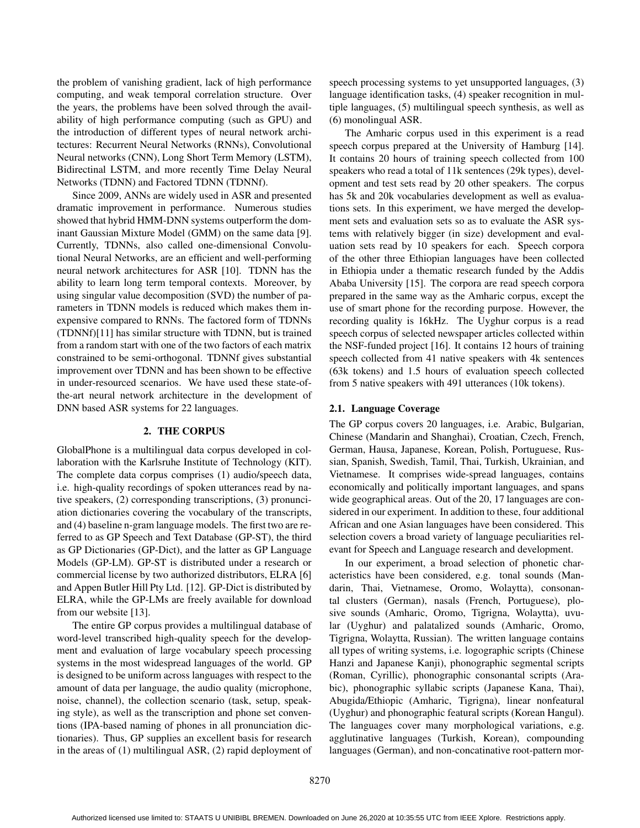the problem of vanishing gradient, lack of high performance computing, and weak temporal correlation structure. Over the years, the problems have been solved through the availability of high performance computing (such as GPU) and the introduction of different types of neural network architectures: Recurrent Neural Networks (RNNs), Convolutional Neural networks (CNN), Long Short Term Memory (LSTM), Bidirectinal LSTM, and more recently Time Delay Neural Networks (TDNN) and Factored TDNN (TDNNf).

Since 2009, ANNs are widely used in ASR and presented dramatic improvement in performance. Numerous studies showed that hybrid HMM-DNN systems outperform the dominant Gaussian Mixture Model (GMM) on the same data [9]. Currently, TDNNs, also called one-dimensional Convolutional Neural Networks, are an efficient and well-performing neural network architectures for ASR [10]. TDNN has the ability to learn long term temporal contexts. Moreover, by using singular value decomposition (SVD) the number of parameters in TDNN models is reduced which makes them inexpensive compared to RNNs. The factored form of TDNNs (TDNNf)[11] has similar structure with TDNN, but is trained from a random start with one of the two factors of each matrix constrained to be semi-orthogonal. TDNNf gives substantial improvement over TDNN and has been shown to be effective in under-resourced scenarios. We have used these state-ofthe-art neural network architecture in the development of DNN based ASR systems for 22 languages.

# 2. THE CORPUS

GlobalPhone is a multilingual data corpus developed in collaboration with the Karlsruhe Institute of Technology (KIT). The complete data corpus comprises (1) audio/speech data, i.e. high-quality recordings of spoken utterances read by native speakers, (2) corresponding transcriptions, (3) pronunciation dictionaries covering the vocabulary of the transcripts, and (4) baseline n-gram language models. The first two are referred to as GP Speech and Text Database (GP-ST), the third as GP Dictionaries (GP-Dict), and the latter as GP Language Models (GP-LM). GP-ST is distributed under a research or commercial license by two authorized distributors, ELRA [6] and Appen Butler Hill Pty Ltd. [12]. GP-Dict is distributed by ELRA, while the GP-LMs are freely available for download from our website [13].

The entire GP corpus provides a multilingual database of word-level transcribed high-quality speech for the development and evaluation of large vocabulary speech processing systems in the most widespread languages of the world. GP is designed to be uniform across languages with respect to the amount of data per language, the audio quality (microphone, noise, channel), the collection scenario (task, setup, speaking style), as well as the transcription and phone set conventions (IPA-based naming of phones in all pronunciation dictionaries). Thus, GP supplies an excellent basis for research in the areas of (1) multilingual ASR, (2) rapid deployment of speech processing systems to yet unsupported languages, (3) language identification tasks, (4) speaker recognition in multiple languages, (5) multilingual speech synthesis, as well as (6) monolingual ASR.

The Amharic corpus used in this experiment is a read speech corpus prepared at the University of Hamburg [14]. It contains 20 hours of training speech collected from 100 speakers who read a total of 11k sentences (29k types), development and test sets read by 20 other speakers. The corpus has 5k and 20k vocabularies development as well as evaluations sets. In this experiment, we have merged the development sets and evaluation sets so as to evaluate the ASR systems with relatively bigger (in size) development and evaluation sets read by 10 speakers for each. Speech corpora of the other three Ethiopian languages have been collected in Ethiopia under a thematic research funded by the Addis Ababa University [15]. The corpora are read speech corpora prepared in the same way as the Amharic corpus, except the use of smart phone for the recording purpose. However, the recording quality is 16kHz. The Uyghur corpus is a read speech corpus of selected newspaper articles collected within the NSF-funded project [16]. It contains 12 hours of training speech collected from 41 native speakers with 4k sentences (63k tokens) and 1.5 hours of evaluation speech collected from 5 native speakers with 491 utterances (10k tokens).

## 2.1. Language Coverage

The GP corpus covers 20 languages, i.e. Arabic, Bulgarian, Chinese (Mandarin and Shanghai), Croatian, Czech, French, German, Hausa, Japanese, Korean, Polish, Portuguese, Russian, Spanish, Swedish, Tamil, Thai, Turkish, Ukrainian, and Vietnamese. It comprises wide-spread languages, contains economically and politically important languages, and spans wide geographical areas. Out of the 20, 17 languages are considered in our experiment. In addition to these, four additional African and one Asian languages have been considered. This selection covers a broad variety of language peculiarities relevant for Speech and Language research and development.

In our experiment, a broad selection of phonetic characteristics have been considered, e.g. tonal sounds (Mandarin, Thai, Vietnamese, Oromo, Wolaytta), consonantal clusters (German), nasals (French, Portuguese), plosive sounds (Amharic, Oromo, Tigrigna, Wolaytta), uvular (Uyghur) and palatalized sounds (Amharic, Oromo, Tigrigna, Wolaytta, Russian). The written language contains all types of writing systems, i.e. logographic scripts (Chinese Hanzi and Japanese Kanji), phonographic segmental scripts (Roman, Cyrillic), phonographic consonantal scripts (Arabic), phonographic syllabic scripts (Japanese Kana, Thai), Abugida/Ethiopic (Amharic, Tigrigna), linear nonfeatural (Uyghur) and phonographic featural scripts (Korean Hangul). The languages cover many morphological variations, e.g. agglutinative languages (Turkish, Korean), compounding languages (German), and non-concatinative root-pattern mor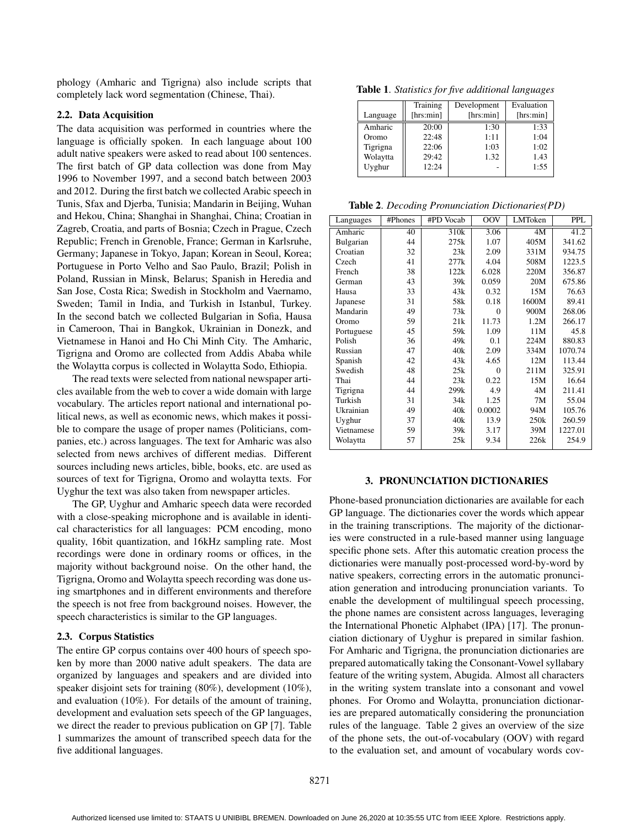phology (Amharic and Tigrigna) also include scripts that completely lack word segmentation (Chinese, Thai).

## 2.2. Data Acquisition

The data acquisition was performed in countries where the language is officially spoken. In each language about 100 adult native speakers were asked to read about 100 sentences. The first batch of GP data collection was done from May 1996 to November 1997, and a second batch between 2003 and 2012. During the first batch we collected Arabic speech in Tunis, Sfax and Djerba, Tunisia; Mandarin in Beijing, Wuhan and Hekou, China; Shanghai in Shanghai, China; Croatian in Zagreb, Croatia, and parts of Bosnia; Czech in Prague, Czech Republic; French in Grenoble, France; German in Karlsruhe, Germany; Japanese in Tokyo, Japan; Korean in Seoul, Korea; Portuguese in Porto Velho and Sao Paulo, Brazil; Polish in Poland, Russian in Minsk, Belarus; Spanish in Heredia and San Jose, Costa Rica; Swedish in Stockholm and Vaernamo, Sweden; Tamil in India, and Turkish in Istanbul, Turkey. In the second batch we collected Bulgarian in Sofia, Hausa in Cameroon, Thai in Bangkok, Ukrainian in Donezk, and Vietnamese in Hanoi and Ho Chi Minh City. The Amharic, Tigrigna and Oromo are collected from Addis Ababa while the Wolaytta corpus is collected in Wolaytta Sodo, Ethiopia.

The read texts were selected from national newspaper articles available from the web to cover a wide domain with large vocabulary. The articles report national and international political news, as well as economic news, which makes it possible to compare the usage of proper names (Politicians, companies, etc.) across languages. The text for Amharic was also selected from news archives of different medias. Different sources including news articles, bible, books, etc. are used as sources of text for Tigrigna, Oromo and wolaytta texts. For Uyghur the text was also taken from newspaper articles.

The GP, Uyghur and Amharic speech data were recorded with a close-speaking microphone and is available in identical characteristics for all languages: PCM encoding, mono quality, 16bit quantization, and 16kHz sampling rate. Most recordings were done in ordinary rooms or offices, in the majority without background noise. On the other hand, the Tigrigna, Oromo and Wolaytta speech recording was done using smartphones and in different environments and therefore the speech is not free from background noises. However, the speech characteristics is similar to the GP languages.

## 2.3. Corpus Statistics

The entire GP corpus contains over 400 hours of speech spoken by more than 2000 native adult speakers. The data are organized by languages and speakers and are divided into speaker disjoint sets for training (80%), development (10%), and evaluation (10%). For details of the amount of training, development and evaluation sets speech of the GP languages, we direct the reader to previous publication on GP [7]. Table 1 summarizes the amount of transcribed speech data for the five additional languages.

Table 1. *Statistics for five additional languages*

|          | Training  | Development | Evaluation |
|----------|-----------|-------------|------------|
| Language | [hrs:min] | [hrs:min]   | [hrs:min]  |
| Amharic  | 20:00     | 1:30        | 1:33       |
| Oromo    | 22:48     | 1:11        | 1:04       |
| Tigrigna | 22:06     | 1:03        | 1:02       |
| Wolaytta | 29:42     | 1.32        | 1.43       |
| Uyghur   | 12:24     |             | 1:55       |

|  |  | Table 2. Decoding Pronunciation Dictionaries(PD) |  |  |
|--|--|--------------------------------------------------|--|--|
|--|--|--------------------------------------------------|--|--|

| Languages  | #Phones | #PD Vocab        | OOV      | LMToken | <b>PPL</b> |
|------------|---------|------------------|----------|---------|------------|
| Amharic    | 40      | 310 <sub>k</sub> | 3.06     | 4M      | 41.2       |
| Bulgarian  | 44      | 275k             | 1.07     | 405M    | 341.62     |
| Croatian   | 32      | 23k              | 2.09     | 331M    | 934.75     |
| Czech      | 41      | 277k             | 4.04     | 508M    | 1223.5     |
| French     | 38      | 122k             | 6.028    | 220M    | 356.87     |
| German     | 43      | 39k              | 0.059    | 20M     | 675.86     |
| Hausa      | 33      | 43k              | 0.32     | 15M     | 76.63      |
| Japanese   | 31      | 58k              | 0.18     | 1600M   | 89.41      |
| Mandarin   | 49      | 73k              | $\Omega$ | 900M    | 268.06     |
| Oromo      | 59      | 21k              | 11.73    | 1.2M    | 266.17     |
| Portuguese | 45      | 59k              | 1.09     | 11M     | 45.8       |
| Polish     | 36      | 49k              | 0.1      | 224M    | 880.83     |
| Russian    | 47      | 40k              | 2.09     | 334M    | 1070.74    |
| Spanish    | 42      | 43k              | 4.65     | 12M     | 113.44     |
| Swedish    | 48      | 25k              | $\theta$ | 211M    | 325.91     |
| Thai       | 44      | 23k              | 0.22     | 15M     | 16.64      |
| Tigrigna   | 44      | 299k             | 4.9      | 4M      | 211.41     |
| Turkish    | 31      | 34k              | 1.25     | 7M      | 55.04      |
| Ukrainian  | 49      | 40k              | 0.0002   | 94M     | 105.76     |
| Uyghur     | 37      | 40k              | 13.9     | 250k    | 260.59     |
| Vietnamese | 59      | 39k              | 3.17     | 39M     | 1227.01    |
| Wolaytta   | 57      | 25k              | 9.34     | 226k    | 254.9      |

### 3. PRONUNCIATION DICTIONARIES

Phone-based pronunciation dictionaries are available for each GP language. The dictionaries cover the words which appear in the training transcriptions. The majority of the dictionaries were constructed in a rule-based manner using language specific phone sets. After this automatic creation process the dictionaries were manually post-processed word-by-word by native speakers, correcting errors in the automatic pronunciation generation and introducing pronunciation variants. To enable the development of multilingual speech processing, the phone names are consistent across languages, leveraging the International Phonetic Alphabet (IPA) [17]. The pronunciation dictionary of Uyghur is prepared in similar fashion. For Amharic and Tigrigna, the pronunciation dictionaries are prepared automatically taking the Consonant-Vowel syllabary feature of the writing system, Abugida. Almost all characters in the writing system translate into a consonant and vowel phones. For Oromo and Wolaytta, pronunciation dictionaries are prepared automatically considering the pronunciation rules of the language. Table 2 gives an overview of the size of the phone sets, the out-of-vocabulary (OOV) with regard to the evaluation set, and amount of vocabulary words cov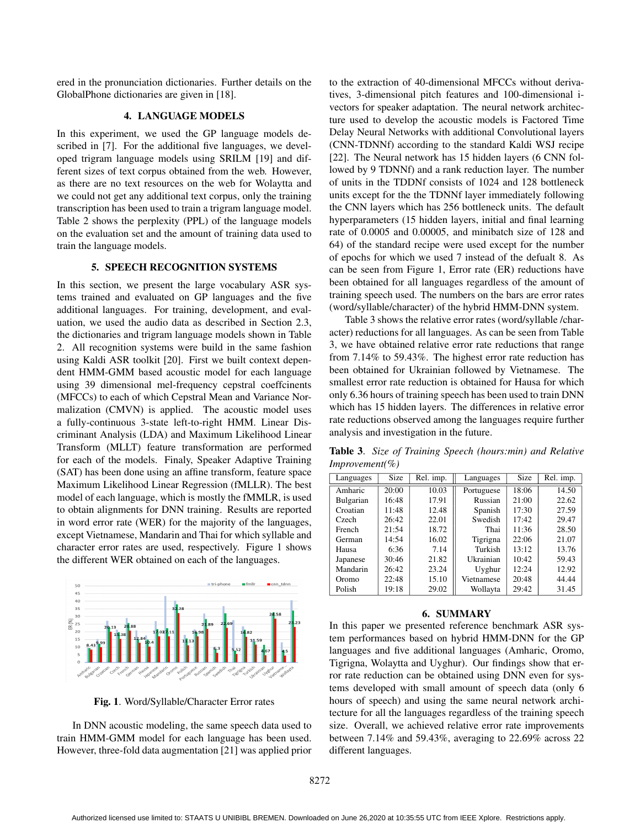ered in the pronunciation dictionaries. Further details on the GlobalPhone dictionaries are given in [18].

## 4. LANGUAGE MODELS

In this experiment, we used the GP language models described in [7]. For the additional five languages, we developed trigram language models using SRILM [19] and different sizes of text corpus obtained from the web. However, as there are no text resources on the web for Wolaytta and we could not get any additional text corpus, only the training transcription has been used to train a trigram language model. Table 2 shows the perplexity (PPL) of the language models on the evaluation set and the amount of training data used to train the language models.

## 5. SPEECH RECOGNITION SYSTEMS

In this section, we present the large vocabulary ASR systems trained and evaluated on GP languages and the five additional languages. For training, development, and evaluation, we used the audio data as described in Section 2.3, the dictionaries and trigram language models shown in Table 2. All recognition systems were build in the same fashion using Kaldi ASR toolkit [20]. First we built context dependent HMM-GMM based acoustic model for each language using 39 dimensional mel-frequency cepstral coeffcinents (MFCCs) to each of which Cepstral Mean and Variance Normalization (CMVN) is applied. The acoustic model uses a fully-continuous 3-state left-to-right HMM. Linear Discriminant Analysis (LDA) and Maximum Likelihood Linear Transform (MLLT) feature transformation are performed for each of the models. Finaly, Speaker Adaptive Training (SAT) has been done using an affine transform, feature space Maximum Likelihood Linear Regression (fMLLR). The best model of each language, which is mostly the fMMLR, is used to obtain alignments for DNN training. Results are reported in word error rate (WER) for the majority of the languages, except Vietnamese, Mandarin and Thai for which syllable and character error rates are used, respectively. Figure 1 shows the different WER obtained on each of the languages.



Fig. 1. Word/Syllable/Character Error rates

In DNN acoustic modeling, the same speech data used to train HMM-GMM model for each language has been used. However, three-fold data augmentation [21] was applied prior to the extraction of 40-dimensional MFCCs without derivatives, 3-dimensional pitch features and 100-dimensional ivectors for speaker adaptation. The neural network architecture used to develop the acoustic models is Factored Time Delay Neural Networks with additional Convolutional layers (CNN-TDNNf) according to the standard Kaldi WSJ recipe [22]. The Neural network has 15 hidden layers (6 CNN followed by 9 TDNNf) and a rank reduction layer. The number of units in the TDDNf consists of 1024 and 128 bottleneck units except for the the TDNNf layer immediately following the CNN layers which has 256 bottleneck units. The default hyperparameters (15 hidden layers, initial and final learning rate of 0.0005 and 0.00005, and minibatch size of 128 and 64) of the standard recipe were used except for the number of epochs for which we used 7 instead of the defualt 8. As can be seen from Figure 1, Error rate (ER) reductions have been obtained for all languages regardless of the amount of training speech used. The numbers on the bars are error rates (word/syllable/character) of the hybrid HMM-DNN system.

Table 3 shows the relative error rates (word/syllable /character) reductions for all languages. As can be seen from Table 3, we have obtained relative error rate reductions that range from 7.14% to 59.43%. The highest error rate reduction has been obtained for Ukrainian followed by Vietnamese. The smallest error rate reduction is obtained for Hausa for which only 6.36 hours of training speech has been used to train DNN which has 15 hidden layers. The differences in relative error rate reductions observed among the languages require further analysis and investigation in the future.

Table 3. *Size of Training Speech (hours:min) and Relative Improvement(%)*

| Languages | Size  | $\overline{\text{Rel}}$ . imp. | Languages  | <b>Size</b> | Rel. imp. |
|-----------|-------|--------------------------------|------------|-------------|-----------|
| Amharic   | 20:00 | 10.03                          | Portuguese | 18:06       | 14.50     |
| Bulgarian | 16:48 | 17.91                          | Russian    | 21:00       | 22.62     |
| Croatian  | 11:48 | 12.48                          | Spanish    | 17:30       | 27.59     |
| Czech     | 26:42 | 22.01                          | Swedish    | 17:42       | 29.47     |
| French    | 21:54 | 18.72                          | Thai       | 11:36       | 28.50     |
| German    | 14:54 | 16.02                          | Tigrigna   | 22:06       | 21.07     |
| Hausa     | 6:36  | 7.14                           | Turkish    | 13:12       | 13.76     |
| Japanese  | 30:46 | 21.82                          | Ukrainian  | 10:42       | 59.43     |
| Mandarin  | 26:42 | 23.24                          | Uyghur     | 12:24       | 12.92     |
| Oromo     | 22:48 | 15.10                          | Vietnamese | 20:48       | 44.44     |
| Polish    | 19:18 | 29.02                          | Wollayta   | 29:42       | 31.45     |

#### 6. SUMMARY

In this paper we presented reference benchmark ASR system performances based on hybrid HMM-DNN for the GP languages and five additional languages (Amharic, Oromo, Tigrigna, Wolaytta and Uyghur). Our findings show that error rate reduction can be obtained using DNN even for systems developed with small amount of speech data (only 6 hours of speech) and using the same neural network architecture for all the languages regardless of the training speech size. Overall, we achieved relative error rate improvements between 7.14% and 59.43%, averaging to 22.69% across 22 different languages.